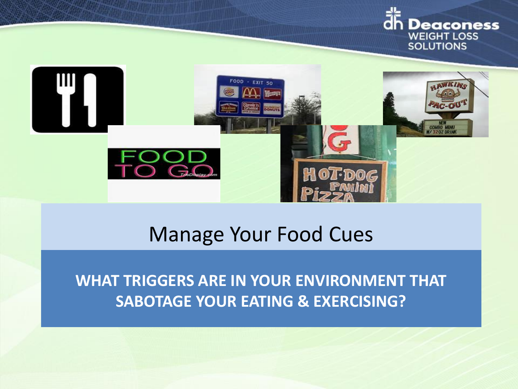



## Manage Your Food Cues

**WHAT TRIGGERS ARE IN YOUR ENVIRONMENT THAT SABOTAGE YOUR EATING & EXERCISING?**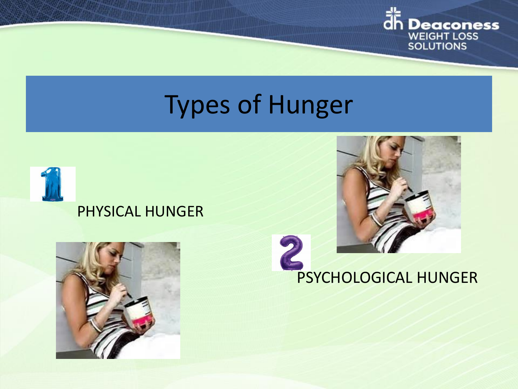

# Types of Hunger



#### PHYSICAL HUNGER



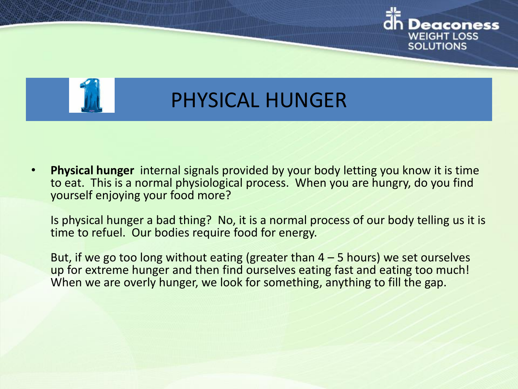



## PHYSICAL HUNGER

• **Physical hunger** internal signals provided by your body letting you know it is time to eat. This is a normal physiological process. When you are hungry, do you find yourself enjoying your food more?

Is physical hunger a bad thing? No, it is a normal process of our body telling us it is time to refuel. Our bodies require food for energy.

But, if we go too long without eating (greater than  $4 - 5$  hours) we set ourselves up for extreme hunger and then find ourselves eating fast and eating too much! When we are overly hunger, we look for something, anything to fill the gap.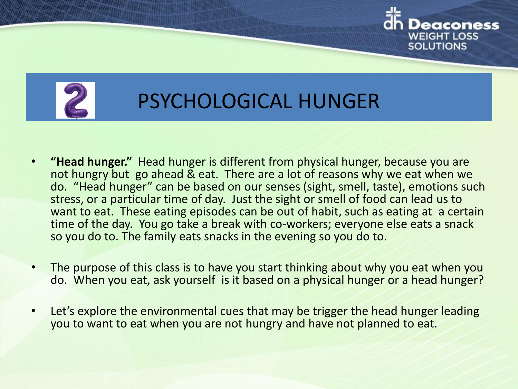



## PSYCHOLOGICAL HUNGER

- **"Head hunger."** Head hunger is different from physical hunger, because you are not hungry but go ahead & eat. There are a lot of reasons why we eat when we do. "Head hunger" can be based on our senses (sight, smell, taste), emotions such stress, or a particular time of day. Just the sight or smell of food can lead us to want to eat. These eating episodes can be out of habit, such as eating at a certain time of the day. You go take a break with co-workers; everyone else eats a snack so you do to. The family eats snacks in the evening so you do to.
- The purpose of this class is to have you start thinking about why you eat when you do. When you eat, ask yourself is it based on a physical hunger or a head hunger?
- Let's explore the environmental cues that may be trigger the head hunger leading you to want to eat when you are not hungry and have not planned to eat.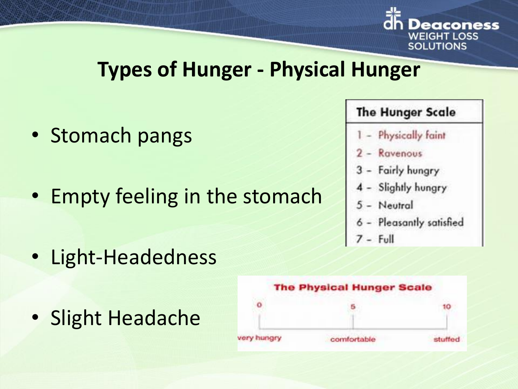

## **Types of Hunger - Physical Hunger**

- Stomach pangs
- Empty feeling in the stomach
- The Hunger Scale
- Physically faint
- Ravenous
- Fairly hungry
- 4 Slightly hungry
- 5 Neutral
- Pleasantly satisfied
- 
- Light-Headedness
- Slight Headache

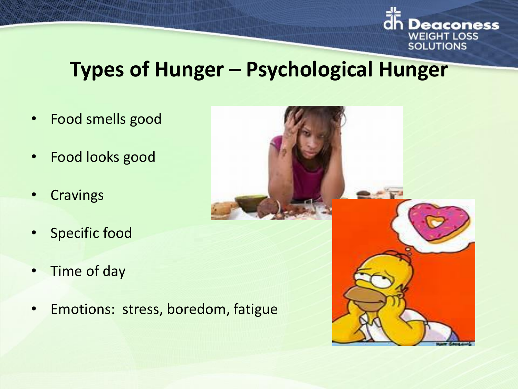

## **Types of Hunger – Psychological Hunger**

- Food smells good
- Food looks good
- Cravings
- Specific food
- Time of day
- Emotions: stress, boredom, fatigue

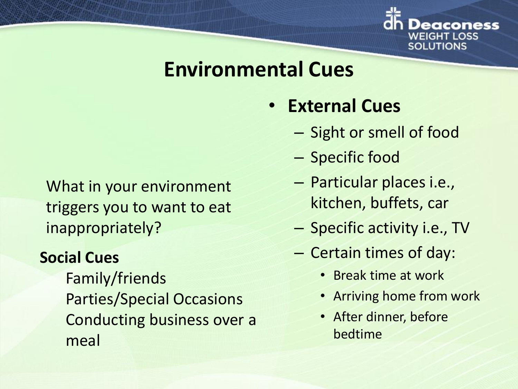

## **Environmental Cues**

## • **External Cues**

- Sight or smell of food
- Specific food
- Particular places i.e., kitchen, buffets, car
- Specific activity i.e., TV
- Certain times of day:
	- Break time at work
	- Arriving home from work
	- After dinner, before bedtime

What in your environment triggers you to want to eat inappropriately?

#### **Social Cues**

Family/friends Parties/Special Occasions Conducting business over a meal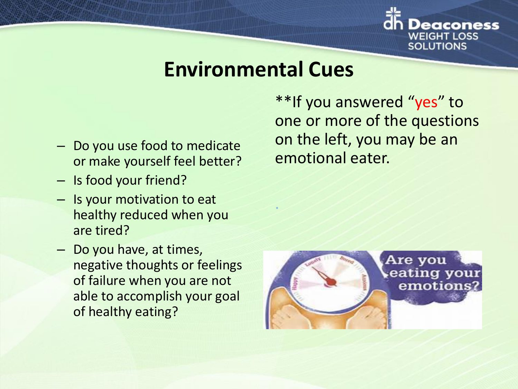

## **Environmental Cues**

.

- Do you use food to medicate or make yourself feel better?
- Is food your friend?
- Is your motivation to eat healthy reduced when you are tired?
- Do you have, at times, negative thoughts or feelings of failure when you are not able to accomplish your goal of healthy eating?

\*\*If you answered "yes" to one or more of the questions on the left, you may be an emotional eater.

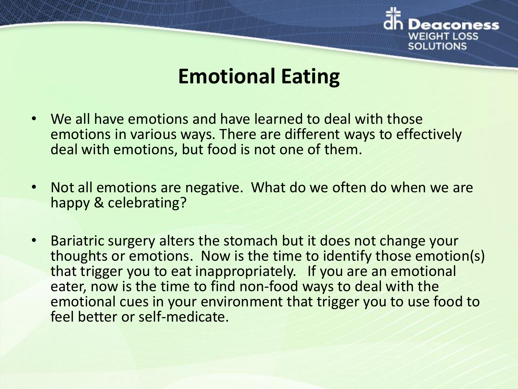

## **Emotional Eating**

- We all have emotions and have learned to deal with those emotions in various ways. There are different ways to effectively deal with emotions, but food is not one of them.
- Not all emotions are negative. What do we often do when we are happy & celebrating?
- Bariatric surgery alters the stomach but it does not change your thoughts or emotions. Now is the time to identify those emotion(s) that trigger you to eat inappropriately. If you are an emotional eater, now is the time to find non-food ways to deal with the emotional cues in your environment that trigger you to use food to feel better or self-medicate.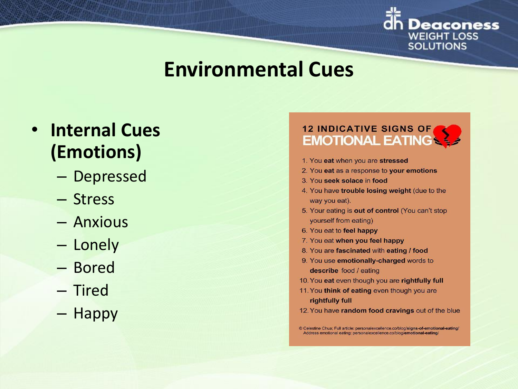

## **Environmental Cues**

## • **Internal Cues (Emotions)**

- Depressed
- Stress
- Anxious
- Lonely
- Bored
- Tired
- Happy

#### **12 INDICATIVE SIGNS OF EMOTIONAL EATING**

- 1. You eat when you are stressed
- 2. You eat as a response to your emotions
- 3. You seek solace in food
- 4. You have trouble losing weight (due to the way you eat).
- 5. Your eating is out of control (You can't stop yourself from eating)
- 6. You eat to feel happy
- 7. You eat when you feel happy
- 8. You are fascinated with eating / food
- 9. You use emotionally-charged words to describe food / eating
- 10. You eat even though you are rightfully full
- 11. You think of eating even though you are rightfully full
- 12. You have random food cravings out of the blue

<sup>©</sup> Celestine Chua; Full article: personalexcellence.co/blog/signs-of-emotional-eating/ Address emotional eating: personalexcellence.co/blog/emotional-eating/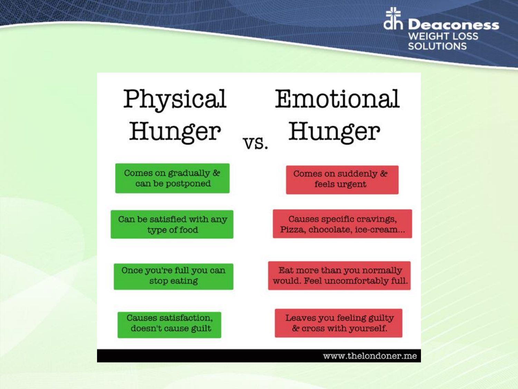

## Physical Hunger VS.

Comes on gradually & can be postponed

Can be satisfied with any type of food

Once you're full you can stop eating

Causes satisfaction, doesn't cause guilt

# Emotional Hunger

Comes on suddenly & feels urgent

Causes specific cravings, Pizza, chocolate, ice-cream...

Eat more than you normally would. Feel uncomfortably full.

Leaves you feeling guilty & cross with yourself.

www.thelondoner.me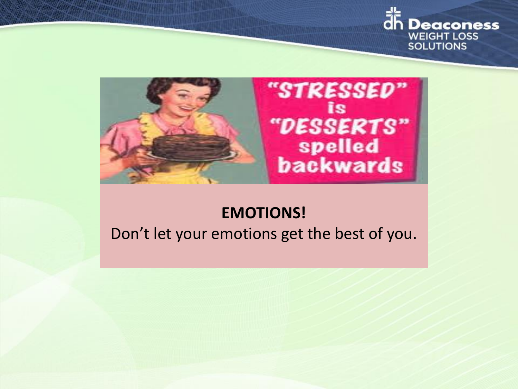



#### **EMOTIONS!**

#### Don't let your emotions get the best of you.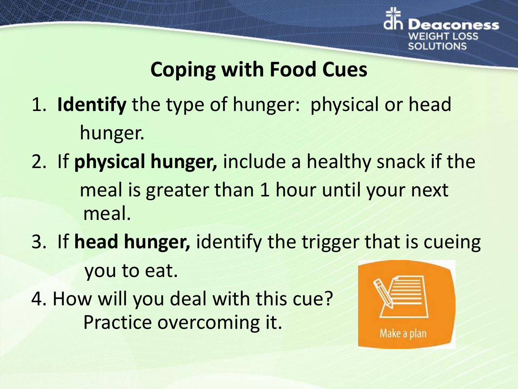

## **Coping with Food Cues**

- 1. **Identify** the type of hunger: physical or head hunger.
- 2. If **physical hunger,** include a healthy snack if the meal is greater than 1 hour until your next meal.
- 3. If **head hunger,** identify the trigger that is cueing you to eat.
- 4. How will you deal with this cue? Practice overcoming it.

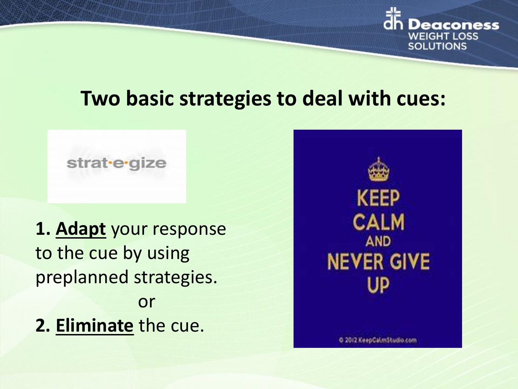

## **Two basic strategies to deal with cues:**

#### strat-e-gize

**1. Adapt** your response to the cue by using preplanned strategies. or **2. Eliminate** the cue.

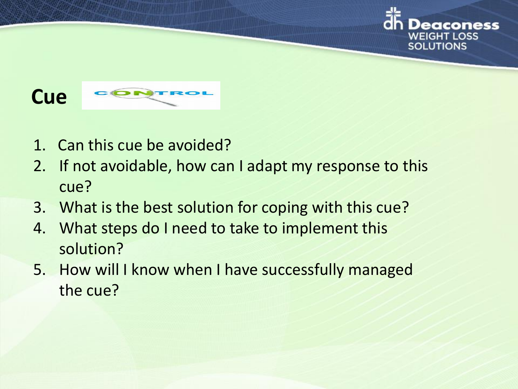

- 1. Can this cue be avoided?
- 2. If not avoidable, how can I adapt my response to this cue?

WEIGHT LOSS **SOLUTIONS** 

- 3. What is the best solution for coping with this cue?
- 4. What steps do I need to take to implement this solution?
- 5. How will I know when I have successfully managed the cue?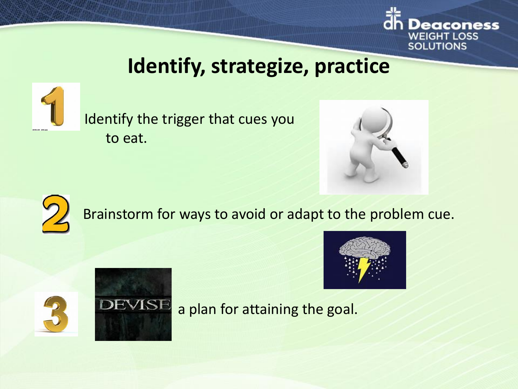

## **Identify, strategize, practice**



Identify the trigger that cues you to eat.





Brainstorm for ways to avoid or adapt to the problem cue.





a plan for attaining the goal.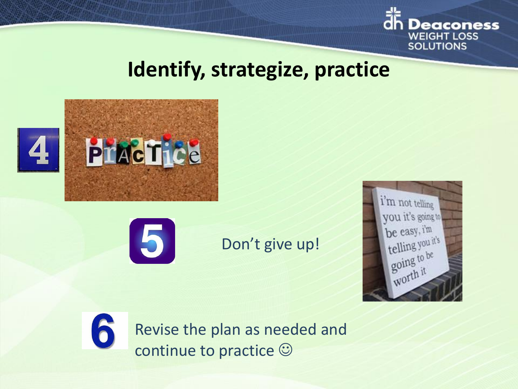

## **Identify, strategize, practice**





### Don't give up!





Revise the plan as needed and continue to practice  $\odot$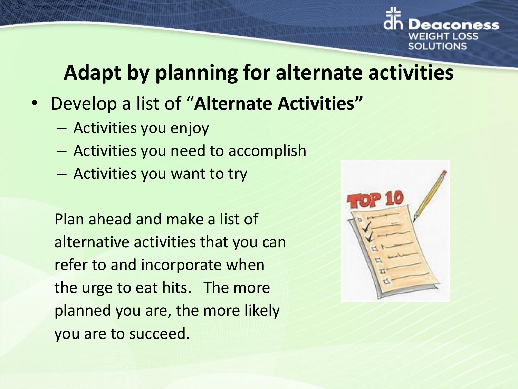

## **Adapt by planning for alternate activities**

- Develop a list of "**Alternate Activities"**
	- Activities you enjoy
	- Activities you need to accomplish
	- Activities you want to try

Plan ahead and make a list of alternative activities that you can refer to and incorporate when the urge to eat hits. The more planned you are, the more likely you are to succeed.

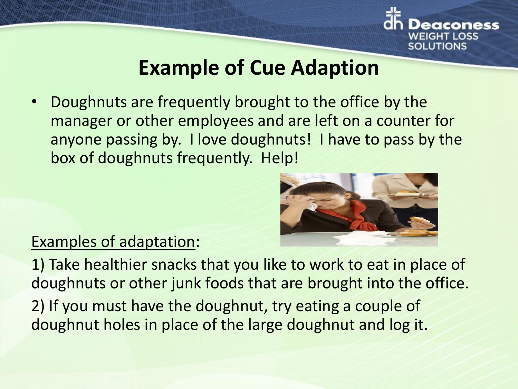

## **Example of Cue Adaption**

• Doughnuts are frequently brought to the office by the manager or other employees and are left on a counter for anyone passing by. I love doughnuts! I have to pass by the box of doughnuts frequently. Help!



#### Examples of adaptation:

1) Take healthier snacks that you like to work to eat in place of doughnuts or other junk foods that are brought into the office.

2) If you must have the doughnut, try eating a couple of doughnut holes in place of the large doughnut and log it.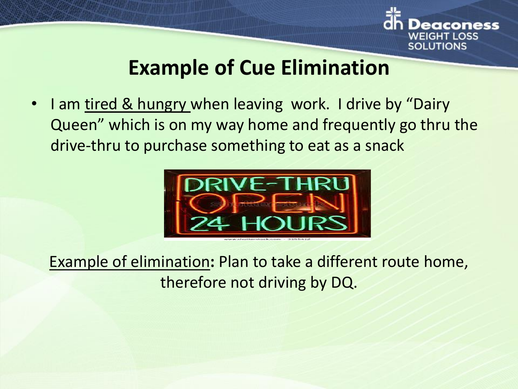

## **Example of Cue Elimination**

I am tired & hungry when leaving work. I drive by "Dairy Queen" which is on my way home and frequently go thru the drive-thru to purchase something to eat as a snack



Example of elimination**:** Plan to take a different route home, therefore not driving by DQ.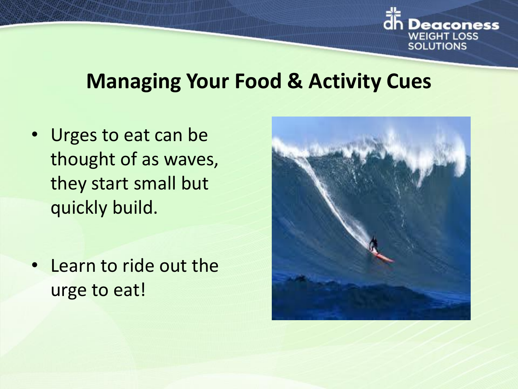

## **Managing Your Food & Activity Cues**

- Urges to eat can be thought of as waves, they start small but quickly build.
- Learn to ride out the urge to eat!